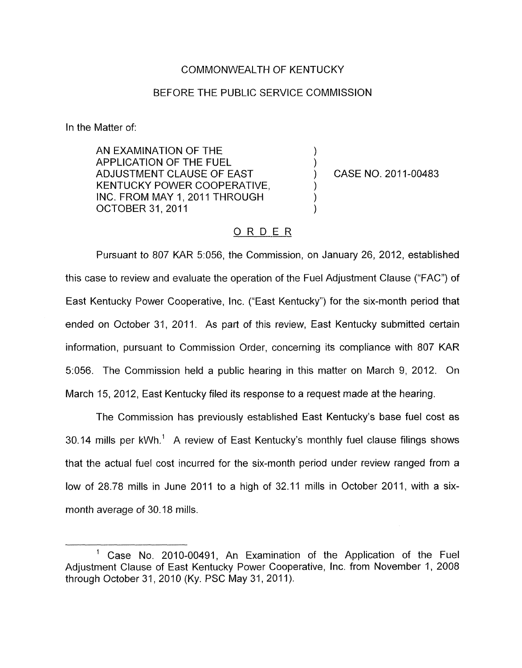## COMMONWEALTH OF KENTUCKY

## BEFORE THE PUBLIC SERVICE COMMISSION

In the Matter of:

AN EXAMINATION OF THE APPLICATION OF THE FUEL ) ADJUSTMENT CLAUSE OF EAST (2011-00483 KENTUCKY POWER COOPERATIVE, INC. FROM MAY 1, 2011 THROUGH OCTOBER 31, 2011

## ORDER

Pursuant to 807 KAR 5:056, the Commission, on January 26, 2012, established this case to review and evaluate the operation of the Fuel Adjustment Clause ("FAC") of East Kentucky Power Cooperative, Inc. ("East Kentucky") for the six-month period that ended on October 31, 2011. As part of this review, East Kentucky submitted certain information, pursuant to Commission Order, concerning its compliance with 807 KAR 51056. The Commission held a public hearing in this matter on March 9, 2012. On March 15, 2012, East Kentucky filed its response to a request made at the hearing.

The Commission has previously established East Kentucky's base fuel cost as 30.14 mills per kWh.' A review of East Kentucky's monthly fuel clause filings shows that the actual fuel cost incurred for the six-month period under review ranged from a low of 28.78 mills in June 2011 to a high of 32.11 mills in October 2011, with a sixmonth average of 30.18 mills.

<sup>&#</sup>x27; Case No. 2010-00491, An Examination of the Application of the Fuel Adjustment Clause of East Kentucky Power Cooperative, lnc. from November 1, 2008 through October 31, 2010 (Ky. PSC May 31, 2011).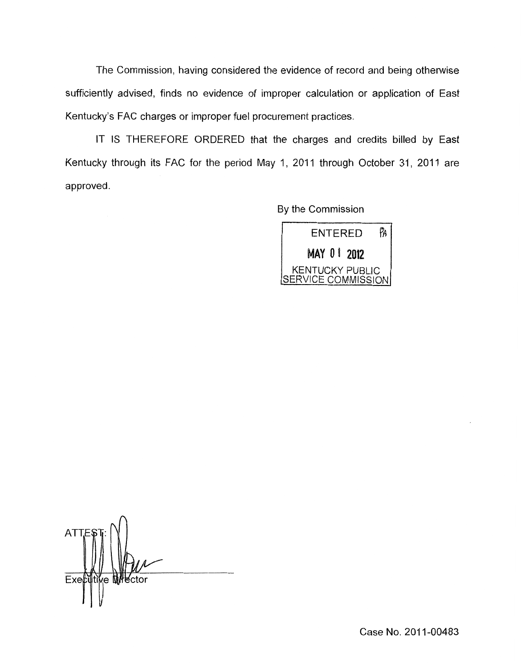The Commission, having considered the evidence of record and being otherwise sufficiently advised, finds no evidence of improper calculation or application of East Kentucky's FAC charges or improper fuel procurement practices.

IT IS THEREFORE ORDERED that the charges and credits billed by East Kentucky through its FAC for the period May 1, 2011 through October 31, 2011 are approved.

By the Commission



**ATT** Exetu ⁄e M}l¥ctor